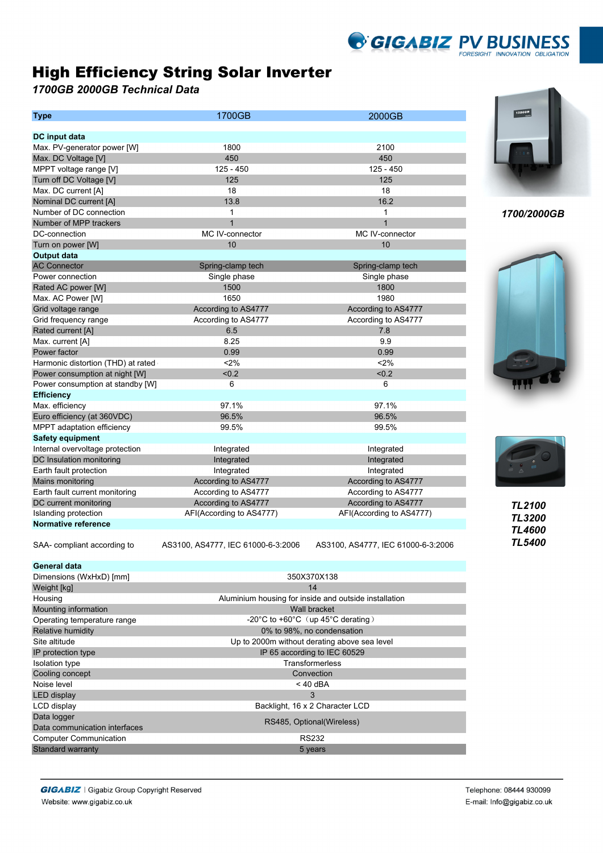## High Efficiency String Solar Inverter

*1700GB 2000GB Technical Data*

| <b>Type</b>                        | 1700GB                             | 2000GB                             |  |
|------------------------------------|------------------------------------|------------------------------------|--|
|                                    |                                    |                                    |  |
| DC input data                      |                                    |                                    |  |
| Max. PV-generator power [W]        | 1800                               | 2100                               |  |
| Max. DC Voltage [V]                | 450                                | 450                                |  |
| MPPT voltage range [V]             | $125 - 450$                        | 125 - 450                          |  |
| Turn off DC Voltage [V]            | 125                                | 125                                |  |
| Max. DC current [A]                | 18                                 | 18                                 |  |
| Nominal DC current [A]             | 13.8                               | 16.2                               |  |
| Number of DC connection            | 1                                  | 1                                  |  |
| Number of MPP trackers             | $\mathbf{1}$                       | $\mathbf{1}$                       |  |
| DC-connection                      | MC IV-connector                    | MC IV-connector                    |  |
| Turn on power [W]                  | 10                                 | 10                                 |  |
| <b>Output data</b>                 |                                    |                                    |  |
| <b>AC Connector</b>                | Spring-clamp tech                  | Spring-clamp tech                  |  |
| Power connection                   | Single phase                       | Single phase                       |  |
| Rated AC power [W]                 | 1500                               | 1800                               |  |
| Max. AC Power [W]                  | 1650                               | 1980                               |  |
| Grid voltage range                 | According to AS4777                | According to AS4777                |  |
| Grid frequency range               | According to AS4777                | According to AS4777                |  |
| Rated current [A]                  | 6.5                                | 7.8                                |  |
| Max. current [A]                   | 8.25                               | 9.9                                |  |
| Power factor                       | 0.99                               | 0.99                               |  |
| Harmonic distortion (THD) at rated | 2%                                 | < 2%                               |  |
| Power consumption at night [W]     | < 0.2                              | < 0.2                              |  |
| Power consumption at standby [W]   | 6                                  | 6                                  |  |
| <b>Efficiency</b>                  |                                    |                                    |  |
| Max. efficiency                    | 97.1%                              | 97.1%                              |  |
| Euro efficiency (at 360VDC)        | 96.5%                              | 96.5%                              |  |
| MPPT adaptation efficiency         | 99.5%                              | 99.5%                              |  |
| <b>Safety equipment</b>            |                                    |                                    |  |
| Internal overvoltage protection    | Integrated                         | Integrated                         |  |
| DC Insulation monitoring           | Integrated                         | Integrated                         |  |
| Earth fault protection             | Integrated                         | Integrated                         |  |
| Mains monitoring                   | According to AS4777                | According to AS4777                |  |
| Earth fault current monitoring     | According to AS4777                | According to AS4777                |  |
| DC current monitoring              | According to AS4777                | According to AS4777                |  |
| Islanding protection               | AFI(According to AS4777)           | AFI(According to AS4777)           |  |
| Normative reference                |                                    |                                    |  |
| SAA- compliant according to        | AS3100, AS4777, IEC 61000-6-3:2006 | AS3100, AS4777, IEC 61000-6-3:2006 |  |



*GIGABIZ PV BUSINESS* 

## *1700/2000GB*





## *TL2100 TL3200 TL4600 TL5400*

| <b>General data</b>           |                                                                 |  |  |
|-------------------------------|-----------------------------------------------------------------|--|--|
| Dimensions (WxHxD) [mm]       | 350X370X138                                                     |  |  |
| Weight [kg]                   | 14                                                              |  |  |
| Housing                       | Aluminium housing for inside and outside installation           |  |  |
| Mounting information          | Wall bracket                                                    |  |  |
| Operating temperature range   | -20 $\degree$ C to +60 $\degree$ C (up 45 $\degree$ C derating) |  |  |
| Relative humidity             | 0% to 98%, no condensation                                      |  |  |
| Site altitude                 | Up to 2000m without derating above sea level                    |  |  |
| IP protection type            | IP 65 according to IEC 60529                                    |  |  |
| <b>Isolation type</b>         | Transformerless                                                 |  |  |
| Cooling concept               | Convection                                                      |  |  |
| Noise level                   | $<$ 40 dBA                                                      |  |  |
| <b>LED</b> display            | 3                                                               |  |  |
| LCD display                   | Backlight, 16 x 2 Character LCD                                 |  |  |
| Data logger                   | RS485, Optional (Wireless)                                      |  |  |
| Data communication interfaces |                                                                 |  |  |
| <b>Computer Communication</b> | <b>RS232</b>                                                    |  |  |
| <b>Standard warranty</b>      | 5 years                                                         |  |  |
|                               |                                                                 |  |  |